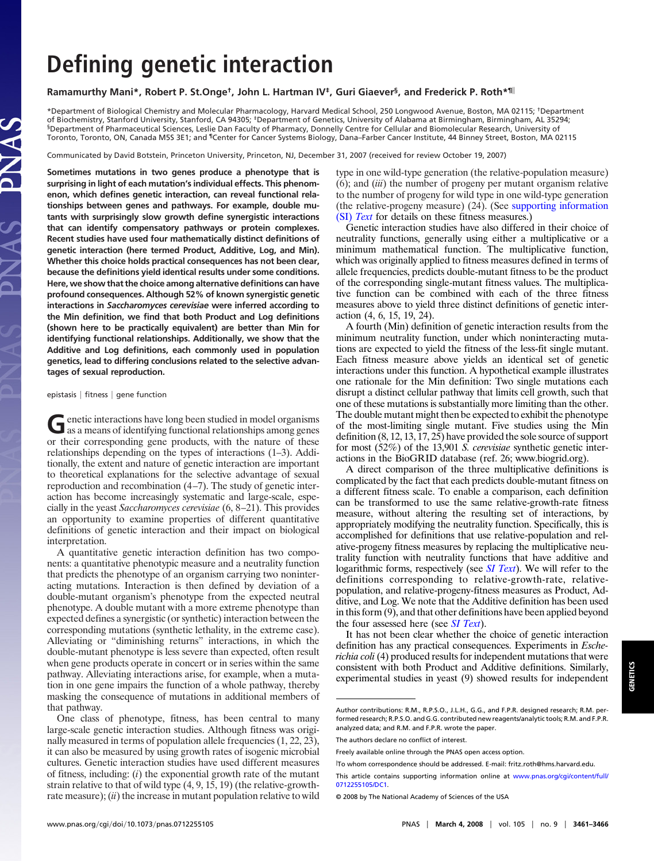# **Defining genetic interaction**

# **Ramamurthy Mani\*, Robert P. St.Onge†, John L. Hartman IV‡, Guri Giaever§, and Frederick P. Roth\*¶**

\*Department of Biological Chemistry and Molecular Pharmacology, Harvard Medical School, 250 Longwood Avenue, Boston, MA 02115; †Department of Biochemistry, Stanford University, Stanford, CA 94305; ‡Department of Genetics, University of Alabama at Birmingham, Birmingham, AL 35294; §Department of Pharmaceutical Sciences, Leslie Dan Faculty of Pharmacy, Donnelly Centre for Cellular and Biomolecular Research, University of Toronto, Toronto, ON, Canada M5S 3E1; and ¶Center for Cancer Systems Biology, Dana–Farber Cancer Institute, 44 Binney Street, Boston, MA 02115

Communicated by David Botstein, Princeton University, Princeton, NJ, December 31, 2007 (received for review October 19, 2007)

**Sometimes mutations in two genes produce a phenotype that is surprising in light of each mutation's individual effects. This phenomenon, which defines genetic interaction, can reveal functional relationships between genes and pathways. For example, double mutants with surprisingly slow growth define synergistic interactions that can identify compensatory pathways or protein complexes. Recent studies have used four mathematically distinct definitions of genetic interaction (here termed Product, Additive, Log, and Min). Whether this choice holds practical consequences has not been clear, because the definitions yield identical results under some conditions. Here, we show that the choice among alternative definitions can have profound consequences. Although 52% of known synergistic genetic interactions in** *Saccharomyces cerevisiae* **were inferred according to the Min definition, we find that both Product and Log definitions (shown here to be practically equivalent) are better than Min for identifying functional relationships. Additionally, we show that the Additive and Log definitions, each commonly used in population genetics, lead to differing conclusions related to the selective advantages of sexual reproduction.**

#### epistasis | fitness | gene function

Genetic interactions have long been studied in model organisms<br>as a means of identifying functional relationships among genes or their corresponding gene products, with the nature of these relationships depending on the types of interactions (1–3). Additionally, the extent and nature of genetic interaction are important to theoretical explanations for the selective advantage of sexual reproduction and recombination (4–7). The study of genetic interaction has become increasingly systematic and large-scale, especially in the yeast *Saccharomyces cerevisiae* (6, 8–21). This provides an opportunity to examine properties of different quantitative definitions of genetic interaction and their impact on biological interpretation.

A quantitative genetic interaction definition has two components: a quantitative phenotypic measure and a neutrality function that predicts the phenotype of an organism carrying two noninteracting mutations. Interaction is then defined by deviation of a double-mutant organism's phenotype from the expected neutral phenotype. A double mutant with a more extreme phenotype than expected defines a synergistic (or synthetic) interaction between the corresponding mutations (synthetic lethality, in the extreme case). Alleviating or "diminishing returns" interactions, in which the double-mutant phenotype is less severe than expected, often result when gene products operate in concert or in series within the same pathway. Alleviating interactions arise, for example, when a mutation in one gene impairs the function of a whole pathway, thereby masking the consequence of mutations in additional members of that pathway.

type in one wild-type generation (the relative-population measure) (6); and (*iii*) the number of progeny per mutant organism relative to the number of progeny for wild type in one wild-type generation (the relative-progeny measure) (24). (See [supporting information](http://www.pnas.org/cgi/content/full/0712255105/DC1) (SI) *[Text](http://www.pnas.org/cgi/content/full/0712255105/DC1)* for details on these fitness measures.)

Genetic interaction studies have also differed in their choice of neutrality functions, generally using either a multiplicative or a minimum mathematical function. The multiplicative function, which was originally applied to fitness measures defined in terms of allele frequencies, predicts double-mutant fitness to be the product of the corresponding single-mutant fitness values. The multiplicative function can be combined with each of the three fitness measures above to yield three distinct definitions of genetic interaction (4, 6, 15, 19, 24).

A fourth (Min) definition of genetic interaction results from the minimum neutrality function, under which noninteracting mutations are expected to yield the fitness of the less-fit single mutant. Each fitness measure above yields an identical set of genetic interactions under this function. A hypothetical example illustrates one rationale for the Min definition: Two single mutations each disrupt a distinct cellular pathway that limits cell growth, such that one of these mutations is substantially more limiting than the other. The double mutant might then be expected to exhibit the phenotype of the most-limiting single mutant. Five studies using the Min definition (8, 12, 13, 17, 25) have provided the sole source of support for most (52%) of the 13,901 *S. cerevisiae* synthetic genetic interactions in the BioGRID database (ref. 26; www.biogrid.org).

A direct comparison of the three multiplicative definitions is complicated by the fact that each predicts double-mutant fitness on a different fitness scale. To enable a comparison, each definition can be transformed to use the same relative-growth-rate fitness measure, without altering the resulting set of interactions, by appropriately modifying the neutrality function. Specifically, this is accomplished for definitions that use relative-population and relative-progeny fitness measures by replacing the multiplicative neutrality function with neutrality functions that have additive and logarithmic forms, respectively (see *[SI Text](http://www.pnas.org/cgi/content/full/0712255105/DC1)*). We will refer to the definitions corresponding to relative-growth-rate, relativepopulation, and relative-progeny-fitness measures as Product, Additive, and Log. We note that the Additive definition has been used in this form (9), and that other definitions have been applied beyond the four assessed here (see *[SI Text](http://www.pnas.org/cgi/content/full/0712255105/DC1)*).

It has not been clear whether the choice of genetic interaction definition has any practical consequences. Experiments in *Escherichia coli*(4) produced results for independent mutations that were consistent with both Product and Additive definitions. Similarly, experimental studies in yeast (9) showed results for independent

The authors declare no conflict of interest.

One class of phenotype, fitness, has been central to many large-scale genetic interaction studies. Although fitness was originally measured in terms of population allele frequencies (1, 22, 23), it can also be measured by using growth rates of isogenic microbial cultures. Genetic interaction studies have used different measures of fitness, including: (*i*) the exponential growth rate of the mutant strain relative to that of wild type (4, 9, 15, 19) (the relative-growthrate measure); (*ii*) the increase in mutant population relative to wild

Author contributions: R.M., R.P.S.O., J.L.H., G.G., and F.P.R. designed research; R.M. performed research; R.P.S.O. and G.G. contributed new reagents/analytic tools; R.M. and F.P.R. analyzed data; and R.M. and F.P.R. wrote the paper.

Freely available online through the PNAS open access option.

 $^\text{\textsf{I}}$ To whom correspondence should be addressed. E-mail: fritz\_roth@hms.harvard.edu.

This article contains supporting information online at [www.pnas.org/cgi/content/full/](http://www.pnas.org/cgi/content/full/0712255105/DC1) [0712255105/DC1.](http://www.pnas.org/cgi/content/full/0712255105/DC1)

<sup>© 2008</sup> by The National Academy of Sciences of the USA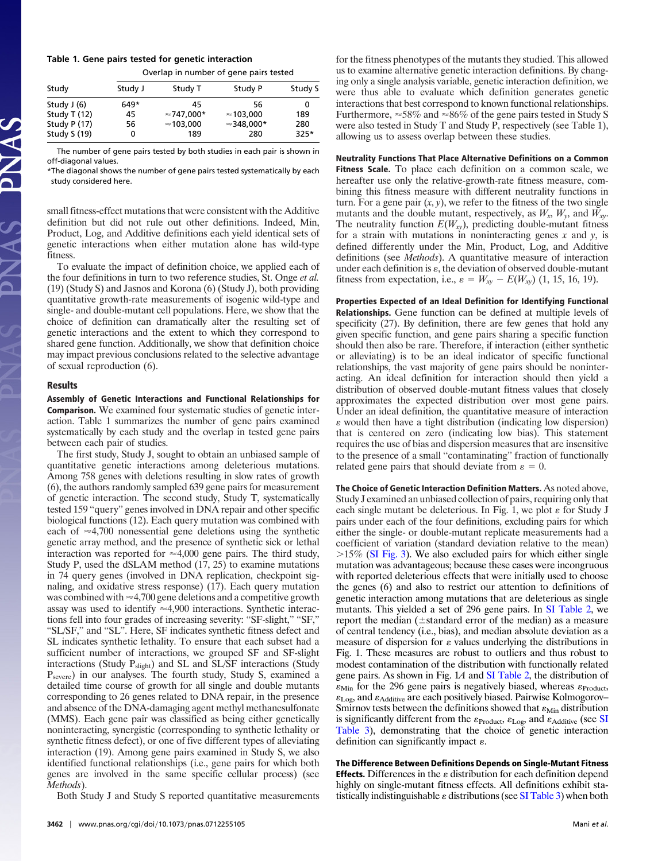### **Table 1. Gene pairs tested for genetic interaction**

Overlap in number of gene pairs tested

| Study        |         |                    |                    |         |
|--------------|---------|--------------------|--------------------|---------|
|              | Study J | Study T            | Study P            | Study S |
| Study $J(6)$ | 649*    | 45                 | 56                 | 0       |
| Study T (12) | 45      | $\approx$ 747.000* | $\approx$ 103.000  | 189     |
| Study P (17) | 56      | $\approx$ 103.000  | $\approx$ 348.000* | 280     |
| Study S (19) | 0       | 189                | 280                | $325*$  |
|              |         |                    |                    |         |

The number of gene pairs tested by both studies in each pair is shown in off-diagonal values.

\*The diagonal shows the number of gene pairs tested systematically by each study considered here.

small fitness-effect mutations that were consistent with the Additive definition but did not rule out other definitions. Indeed, Min, Product, Log, and Additive definitions each yield identical sets of genetic interactions when either mutation alone has wild-type fitness.

To evaluate the impact of definition choice, we applied each of the four definitions in turn to two reference studies, St. Onge *et al.* (19) (Study S) and Jasnos and Korona (6) (Study J), both providing quantitative growth-rate measurements of isogenic wild-type and single- and double-mutant cell populations. Here, we show that the choice of definition can dramatically alter the resulting set of genetic interactions and the extent to which they correspond to shared gene function. Additionally, we show that definition choice may impact previous conclusions related to the selective advantage of sexual reproduction (6).

#### **Results**

**Assembly of Genetic Interactions and Functional Relationships for Comparison.** We examined four systematic studies of genetic interaction. Table 1 summarizes the number of gene pairs examined systematically by each study and the overlap in tested gene pairs between each pair of studies.

The first study, Study J, sought to obtain an unbiased sample of quantitative genetic interactions among deleterious mutations. Among 758 genes with deletions resulting in slow rates of growth (6), the authors randomly sampled 639 gene pairs for measurement of genetic interaction. The second study, Study T, systematically tested 159 ''query'' genes involved in DNA repair and other specific biological functions (12). Each query mutation was combined with each of  $\approx$ 4,700 nonessential gene deletions using the synthetic genetic array method, and the presence of synthetic sick or lethal interaction was reported for  $\approx 4,000$  gene pairs. The third study, Study P, used the dSLAM method (17, 25) to examine mutations in 74 query genes (involved in DNA replication, checkpoint signaling, and oxidative stress response) (17). Each query mutation was combined with  $\approx$  4,700 gene deletions and a competitive growth assay was used to identify  $\approx 4,900$  interactions. Synthetic interactions fell into four grades of increasing severity: "SF-slight," "SF," "SL/SF," and "SL". Here, SF indicates synthetic fitness defect and SL indicates synthetic lethality. To ensure that each subset had a sufficient number of interactions, we grouped SF and SF-slight interactions (Study P<sub>slight</sub>) and SL and SL/SF interactions (Study Psevere) in our analyses. The fourth study, Study S, examined a detailed time course of growth for all single and double mutants corresponding to 26 genes related to DNA repair, in the presence and absence of the DNA-damaging agent methyl methanesulfonate (MMS). Each gene pair was classified as being either genetically noninteracting, synergistic (corresponding to synthetic lethality or synthetic fitness defect), or one of five different types of alleviating interaction (19). Among gene pairs examined in Study S, we also identified functional relationships (i.e., gene pairs for which both genes are involved in the same specific cellular process) (see *Methods*).

Both Study J and Study S reported quantitative measurements

for the fitness phenotypes of the mutants they studied. This allowed us to examine alternative genetic interaction definitions. By changing only a single analysis variable, genetic interaction definition, we were thus able to evaluate which definition generates genetic interactions that best correspond to known functional relationships. Furthermore,  $\approx 58\%$  and  $\approx 86\%$  of the gene pairs tested in Study S were also tested in Study T and Study P, respectively (see Table 1), allowing us to assess overlap between these studies.

**Neutrality Functions That Place Alternative Definitions on a Common Fitness Scale.** To place each definition on a common scale, we hereafter use only the relative-growth-rate fitness measure, combining this fitness measure with different neutrality functions in turn. For a gene pair  $(x, y)$ , we refer to the fitness of the two single mutants and the double mutant, respectively, as  $W_x$ ,  $W_y$ , and  $W_{xy}$ . The neutrality function  $E(W_{xy})$ , predicting double-mutant fitness for a strain with mutations in noninteracting genes *x* and *y*, is defined differently under the Min, Product, Log, and Additive definitions (see *Methods*). A quantitative measure of interaction under each definition is  $\varepsilon$ , the deviation of observed double-mutant fitness from expectation, i.e.,  $\varepsilon = W_{xy} - E(W_{xy})$  (1, 15, 16, 19).

**Properties Expected of an Ideal Definition for Identifying Functional Relationships.** Gene function can be defined at multiple levels of specificity (27). By definition, there are few genes that hold any given specific function, and gene pairs sharing a specific function should then also be rare. Therefore, if interaction (either synthetic or alleviating) is to be an ideal indicator of specific functional relationships, the vast majority of gene pairs should be noninteracting. An ideal definition for interaction should then yield a distribution of observed double-mutant fitness values that closely approximates the expected distribution over most gene pairs. Under an ideal definition, the quantitative measure of interaction  $\varepsilon$  would then have a tight distribution (indicating low dispersion) that is centered on zero (indicating low bias). This statement requires the use of bias and dispersion measures that are insensitive to the presence of a small ''contaminating'' fraction of functionally related gene pairs that should deviate from  $\varepsilon = 0$ .

**The Choice of Genetic Interaction Definition Matters.** As noted above, Study J examined an unbiased collection of pairs, requiring only that each single mutant be deleterious. In Fig. 1, we plot  $\varepsilon$  for Study J pairs under each of the four definitions, excluding pairs for which either the single- or double-mutant replicate measurements had a coefficient of variation (standard deviation relative to the mean)  $>15\%$  [\(SI Fig. 3\)](http://www.pnas.org/cgi/content/full/0712255105/DC1). We also excluded pairs for which either single mutation was advantageous; because these cases were incongruous with reported deleterious effects that were initially used to choose the genes (6) and also to restrict our attention to definitions of genetic interaction among mutations that are deleterious as single mutants. This yielded a set of 296 gene pairs. In [SI Table 2,](http://www.pnas.org/cgi/content/full/0712255105/DC1) we report the median ( $\pm$ standard error of the median) as a measure of central tendency (i.e., bias), and median absolute deviation as a measure of dispersion for  $\varepsilon$  values underlying the distributions in Fig. 1. These measures are robust to outliers and thus robust to modest contamination of the distribution with functionally related gene pairs. As shown in Fig. 1*A* and [SI Table 2,](http://www.pnas.org/cgi/content/full/0712255105/DC1) the distribution of  $\varepsilon_{\text{Min}}$  for the 296 gene pairs is negatively biased, whereas  $\varepsilon_{\text{Product}}$ ,  $\varepsilon_{\text{Log}}$ , and  $\varepsilon_{\text{Additive}}$  are each positively biased. Pairwise Kolmogorov– Smirnov tests between the definitions showed that  $\varepsilon_{\text{Min}}$  distribution is significantly different from the  $\varepsilon_{\text{Product}}$ ,  $\varepsilon_{\text{Log}}$ , and  $\varepsilon_{\text{Additive}}$  (see [SI](http://www.pnas.org/cgi/content/full/0712255105/DC1) [Table 3\)](http://www.pnas.org/cgi/content/full/0712255105/DC1), demonstrating that the choice of genetic interaction definition can significantly impact  $\varepsilon$ .

**The Difference Between Definitions Depends on Single-Mutant Fitness Effects.** Differences in the  $\varepsilon$  distribution for each definition depend highly on single-mutant fitness effects. All definitions exhibit statistically indistinguishable  $\varepsilon$  distributions (see [SI Table 3\)](http://www.pnas.org/cgi/content/full/0712255105/DC1) when both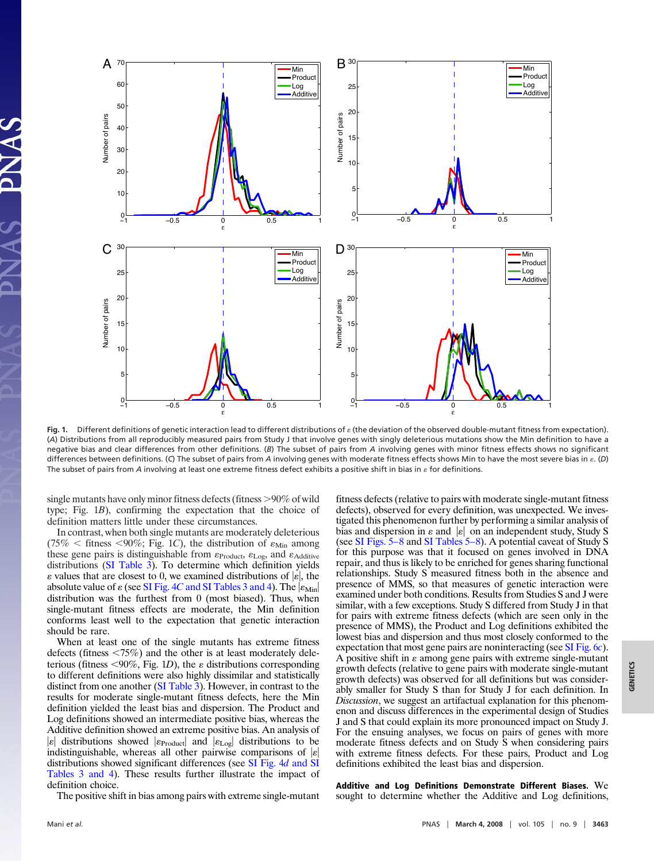

Fig. 1. Different definitions of genetic interaction lead to different distributions of  $\varepsilon$  (the deviation of the observed double-mutant fitness from expectation). (*A*) Distributions from all reproducibly measured pairs from Study J that involve genes with singly deleterious mutations show the Min definition to have a negative bias and clear differences from other definitions. (*B*) The subset of pairs from *A* involving genes with minor fitness effects shows no significant differences between definitions. (C) The subset of pairs from *A* involving genes with moderate fitness effects shows Min to have the most severe bias in  $\varepsilon$ . (D) The subset of pairs from *A* involving at least one extreme fitness defect exhibits a positive shift in bias in  $\varepsilon$  for definitions.

single mutants have only minor fitness defects (fitness  $>90\%$  of wild type; Fig. 1*B*), confirming the expectation that the choice of definition matters little under these circumstances.

In contrast, when both single mutants are moderately deleterious (75%  $\lt$  fitness  $\lt$ 90%; Fig. 1*C*), the distribution of  $\varepsilon_{\text{Min}}$  among these gene pairs is distinguishable from  $\varepsilon_{Product}$ ,  $\varepsilon_{Log}$ , and  $\varepsilon_{Additive}$ distributions [\(SI Table 3\)](http://www.pnas.org/cgi/content/full/0712255105/DC1). To determine which definition yields  $\varepsilon$  values that are closest to 0, we examined distributions of  $|\varepsilon|$ , the absolute value of  $\varepsilon$  (see SI Fig. 4*C* [and SI Tables 3 and 4\)](http://www.pnas.org/cgi/content/full/0712255105/DC1). The  $|\varepsilon_{\rm Min}|$ distribution was the furthest from 0 (most biased). Thus, when single-mutant fitness effects are moderate, the Min definition conforms least well to the expectation that genetic interaction should be rare.

When at least one of the single mutants has extreme fitness defects (fitness  $\langle 75\% \rangle$ ) and the other is at least moderately deleterious (fitness  $\langle 90\%, \text{Fig. 1D} \rangle$ , the  $\varepsilon$  distributions corresponding to different definitions were also highly dissimilar and statistically distinct from one another [\(SI Table 3\)](http://www.pnas.org/cgi/content/full/0712255105/DC1). However, in contrast to the results for moderate single-mutant fitness defects, here the Min definition yielded the least bias and dispersion. The Product and Log definitions showed an intermediate positive bias, whereas the Additive definition showed an extreme positive bias. An analysis of  $|\varepsilon|$  distributions showed  $|\varepsilon_{\text{Product}}|$  and  $|\varepsilon_{\text{Log}}|$  distributions to be indistinguishable, whereas all other pairwise comparisons of  $|\varepsilon|$ distributions showed significant differences (see [SI Fig. 4](http://www.pnas.org/cgi/content/full/0712255105/DC1)*d* and SI [Tables 3 and 4\)](http://www.pnas.org/cgi/content/full/0712255105/DC1). These results further illustrate the impact of definition choice.

The positive shift in bias among pairs with extreme single-mutant

fitness defects (relative to pairs with moderate single-mutant fitness defects), observed for every definition, was unexpected. We investigated this phenomenon further by performing a similar analysis of bias and dispersion in  $\varepsilon$  and  $|\varepsilon|$  on an independent study, Study S (see [SI Figs. 5–8](http://www.pnas.org/cgi/content/full/0712255105/DC1) and [SI Tables 5–8\)](http://www.pnas.org/cgi/content/full/0712255105/DC1). A potential caveat of Study S for this purpose was that it focused on genes involved in DNA repair, and thus is likely to be enriched for genes sharing functional relationships. Study S measured fitness both in the absence and presence of MMS, so that measures of genetic interaction were examined under both conditions. Results from Studies S and J were similar, with a few exceptions. Study S differed from Study J in that for pairs with extreme fitness defects (which are seen only in the presence of MMS), the Product and Log definitions exhibited the lowest bias and dispersion and thus most closely conformed to the expectation that most gene pairs are noninteracting (see [SI Fig. 6](http://www.pnas.org/cgi/content/full/0712255105/DC1)*c*). A positive shift in  $\varepsilon$  among gene pairs with extreme single-mutant growth defects (relative to gene pairs with moderate single-mutant growth defects) was observed for all definitions but was considerably smaller for Study S than for Study J for each definition. In *Discussion*, we suggest an artifactual explanation for this phenomenon and discuss differences in the experimental design of Studies J and S that could explain its more pronounced impact on Study J. For the ensuing analyses, we focus on pairs of genes with more moderate fitness defects and on Study S when considering pairs with extreme fitness defects. For these pairs, Product and Log definitions exhibited the least bias and dispersion.

**Additive and Log Definitions Demonstrate Different Biases.** We sought to determine whether the Additive and Log definitions,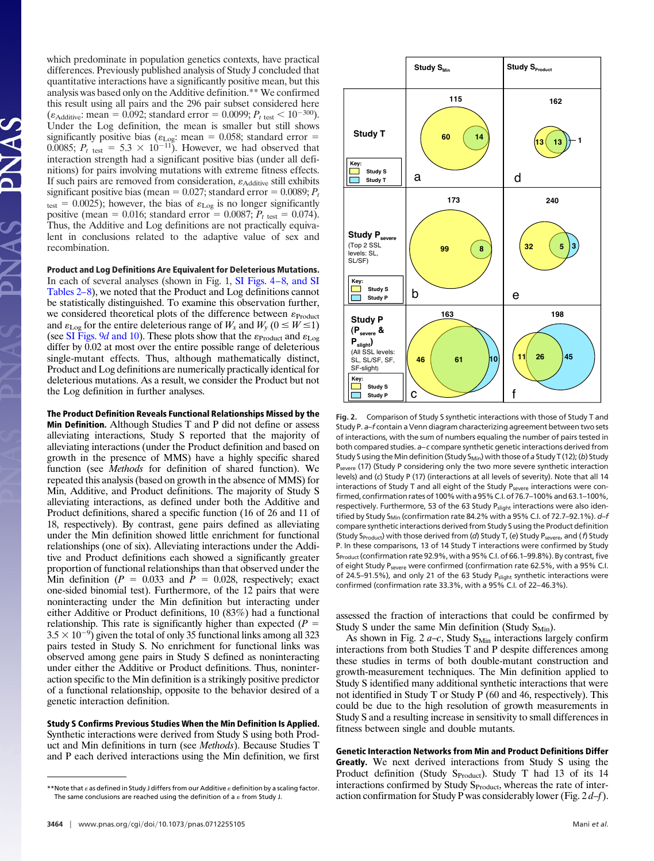which predominate in population genetics contexts, have practical differences. Previously published analysis of Study J concluded that quantitative interactions have a significantly positive mean, but this analysis was based only on the Additive definition.\*\* We confirmed this result using all pairs and the 296 pair subset considered here  $(\varepsilon_{\text{Additive}}$ : mean = 0.092; standard error = 0.0099;  $P_{t \text{ test}} < 10^{-300}$ ). Under the Log definition, the mean is smaller but still shows significantly positive bias ( $\varepsilon_{\text{Log}}$ : mean = 0.058; standard error = 0.0085;  $P_t$ <sub>test</sub> = 5.3 × 10<sup>-11</sup>). However, we had observed that interaction strength had a significant positive bias (under all definitions) for pairs involving mutations with extreme fitness effects. If such pairs are removed from consideration,  $\varepsilon_{\text{Additive}}$  still exhibits significant positive bias (mean  $= 0.027$ ; standard error  $= 0.0089$ ;  $P<sub>t</sub>$  $t_{\text{test}} = 0.0025$ ); however, the bias of  $\varepsilon_{\text{Log}}$  is no longer significantly positive (mean =  $0.016$ ; standard error =  $0.0087$ ;  $P_{t \text{ test}} = 0.074$ ). Thus, the Additive and Log definitions are not practically equivalent in conclusions related to the adaptive value of sex and recombination.

**Product and Log Definitions Are Equivalent for Deleterious Mutations.** In each of several analyses (shown in Fig. 1, [SI Figs. 4–8, and SI](http://www.pnas.org/cgi/content/full/0712255105/DC1) [Tables 2–8\)](http://www.pnas.org/cgi/content/full/0712255105/DC1), we noted that the Product and Log definitions cannot be statistically distinguished. To examine this observation further, we considered theoretical plots of the difference between  $\varepsilon_{Product}$ and  $\varepsilon_{\text{Log}}$  for the entire deleterious range of  $W_x$  and  $W_y$  ( $0 \le W \le 1$ ) (see [SI Figs. 9](http://www.pnas.org/cgi/content/full/0712255105/DC1)*d* and 10). These plots show that the  $\varepsilon_{\text{Product}}$  and  $\varepsilon_{\text{Log}}$ differ by 0.02 at most over the entire possible range of deleterious single-mutant effects. Thus, although mathematically distinct, Product and Log definitions are numerically practically identical for deleterious mutations. As a result, we consider the Product but not the Log definition in further analyses.

**The Product Definition Reveals Functional Relationships Missed by the Min Definition.** Although Studies T and P did not define or assess alleviating interactions, Study S reported that the majority of alleviating interactions (under the Product definition and based on growth in the presence of MMS) have a highly specific shared function (see *Methods* for definition of shared function). We repeated this analysis (based on growth in the absence of MMS) for Min, Additive, and Product definitions. The majority of Study S alleviating interactions, as defined under both the Additive and Product definitions, shared a specific function (16 of 26 and 11 of 18, respectively). By contrast, gene pairs defined as alleviating under the Min definition showed little enrichment for functional relationships (one of six). Alleviating interactions under the Additive and Product definitions each showed a significantly greater proportion of functional relationships than that observed under the Min definition  $(P = 0.033$  and  $P = 0.028$ , respectively; exact one-sided binomial test). Furthermore, of the 12 pairs that were noninteracting under the Min definition but interacting under either Additive or Product definitions, 10 (83%) had a functional relationship. This rate is significantly higher than expected  $(P =$  $3.5 \times 10^{-9}$  given the total of only 35 functional links among all 323 pairs tested in Study S. No enrichment for functional links was observed among gene pairs in Study S defined as noninteracting under either the Additive or Product definitions. Thus, noninteraction specific to the Min definition is a strikingly positive predictor of a functional relationship, opposite to the behavior desired of a genetic interaction definition.

**Study S Confirms Previous Studies When the Min Definition Is Applied.** Synthetic interactions were derived from Study S using both Product and Min definitions in turn (see *Methods*). Because Studies T and P each derived interactions using the Min definition, we first



**Fig. 2.** Comparison of Study S synthetic interactions with those of Study T and Study P. *a–f* contain a Venn diagram characterizing agreement between two sets of interactions, with the sum of numbers equaling the number of pairs tested in both compared studies. *a–c* compare synthetic genetic interactions derived from Study S using the Min definition (Study S<sub>Min</sub>) with those of a Study T (12); (b) Study P<sub>severe</sub> (17) (Study P considering only the two more severe synthetic interaction levels) and (*c*) Study P (17) (interactions at all levels of severity). Note that all 14 interactions of Study T and all eight of the Study P<sub>severe</sub> interactions were confirmed, confirmation rates of 100% with a 95% C.I. of 76.7-100% and 63.1-100%, respectively. Furthermore, 53 of the 63 Study P<sub>slight</sub> interactions were also identified by Study S<sub>Min</sub> (confirmation rate 84.2% with a 95% C.I. of 72.7-92.1%). d-f compare synthetic interactions derived from Study S using the Product definition (Study S<sub>Product</sub>) with those derived from (*d*) Study T, (*e*) Study P<sub>severe</sub>, and (*f*) Study P. In these comparisons, 13 of 14 Study T interactions were confirmed by Study SProduct (confirmation rate 92.9%, with a 95% C.I. of 66.1–99.8%). By contrast, five of eight Study P<sub>severe</sub> were confirmed (confirmation rate 62.5%, with a 95% C.I. of 24.5–91.5%), and only 21 of the 63 Study  $P_{\text{slight}}$  synthetic interactions were confirmed (confirmation rate 33.3%, with a 95% C.I. of 22–46.3%).

assessed the fraction of interactions that could be confirmed by Study S under the same Min definition (Study  $S_{Min}$ ).

As shown in Fig.  $2a-c$ , Study S<sub>Min</sub> interactions largely confirm interactions from both Studies T and P despite differences among these studies in terms of both double-mutant construction and growth-measurement techniques. The Min definition applied to Study S identified many additional synthetic interactions that were not identified in Study T or Study P (60 and 46, respectively). This could be due to the high resolution of growth measurements in Study S and a resulting increase in sensitivity to small differences in fitness between single and double mutants.

**Genetic Interaction Networks from Min and Product Definitions Differ Greatly.** We next derived interactions from Study S using the Product definition (Study S $_{\text{Product}}$ ). Study T had 13 of its 14 interactions confirmed by Study S<sub>Product</sub>, whereas the rate of interaction confirmation for Study P was considerably lower (Fig. 2 *d*–*f*).

<sup>\*\*</sup>Note that  $\varepsilon$  as defined in Study J differs from our Additive  $\varepsilon$  definition by a scaling factor. The same conclusions are reached using the definition of a  $\varepsilon$  from Study J.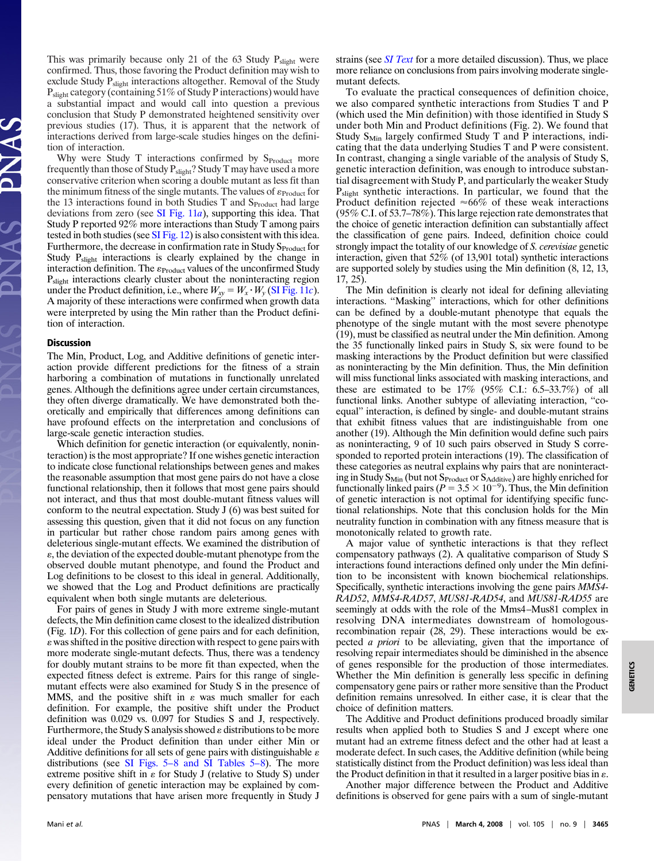This was primarily because only 21 of the 63 Study  $P_{\text{slight}}$  were confirmed. Thus, those favoring the Product definition may wish to exclude Study P<sub>slight</sub> interactions altogether. Removal of the Study P<sub>slight</sub> category (containing 51% of Study P interactions) would have a substantial impact and would call into question a previous conclusion that Study P demonstrated heightened sensitivity over previous studies (17). Thus, it is apparent that the network of interactions derived from large-scale studies hinges on the definition of interaction.

Why were Study T interactions confirmed by  $S_{Product}$  more frequently than those of Study Pslight? Study T may have used a more conservative criterion when scoring a double mutant as less fit than the minimum fitness of the single mutants. The values of  $\varepsilon_{\text{Product}}$  for the 13 interactions found in both Studies T and S<sub>Product</sub> had large deviations from zero (see [SI Fig. 11](http://www.pnas.org/cgi/content/full/0712255105/DC1)*a*), supporting this idea. That Study P reported 92% more interactions than Study T among pairs tested in both studies (see [SI Fig. 12\)](http://www.pnas.org/cgi/content/full/0712255105/DC1) is also consistent with this idea. Furthermore, the decrease in confirmation rate in Study S<sub>Product</sub> for Study P<sub>slight</sub> interactions is clearly explained by the change in interaction definition. The  $\varepsilon_{Product}$  values of the unconfirmed Study P<sub>slight</sub> interactions clearly cluster about the noninteracting region under the Product definition, i.e., where  $W_{xy} = W_x \cdot W_y$  [\(SI Fig. 11](http://www.pnas.org/cgi/content/full/0712255105/DC1)*c*). A majority of these interactions were confirmed when growth data were interpreted by using the Min rather than the Product definition of interaction.

#### **Discussion**

The Min, Product, Log, and Additive definitions of genetic interaction provide different predictions for the fitness of a strain harboring a combination of mutations in functionally unrelated genes. Although the definitions agree under certain circumstances, they often diverge dramatically. We have demonstrated both theoretically and empirically that differences among definitions can have profound effects on the interpretation and conclusions of large-scale genetic interaction studies.

Which definition for genetic interaction (or equivalently, noninteraction) is the most appropriate? If one wishes genetic interaction to indicate close functional relationships between genes and makes the reasonable assumption that most gene pairs do not have a close functional relationship, then it follows that most gene pairs should not interact, and thus that most double-mutant fitness values will conform to the neutral expectation. Study J (6) was best suited for assessing this question, given that it did not focus on any function in particular but rather chose random pairs among genes with deleterious single-mutant effects. We examined the distribution of , the deviation of the expected double-mutant phenotype from the observed double mutant phenotype, and found the Product and Log definitions to be closest to this ideal in general. Additionally, we showed that the Log and Product definitions are practically equivalent when both single mutants are deleterious.

For pairs of genes in Study J with more extreme single-mutant defects, the Min definition came closest to the idealized distribution (Fig. 1*D*). For this collection of gene pairs and for each definition, was shifted in the positive direction with respect to gene pairs with more moderate single-mutant defects. Thus, there was a tendency for doubly mutant strains to be more fit than expected, when the expected fitness defect is extreme. Pairs for this range of singlemutant effects were also examined for Study S in the presence of MMS, and the positive shift in  $\varepsilon$  was much smaller for each definition. For example, the positive shift under the Product definition was 0.029 vs. 0.097 for Studies S and J, respectively. Furthermore, the Study S analysis showed  $\varepsilon$  distributions to be more ideal under the Product definition than under either Min or Additive definitions for all sets of gene pairs with distinguishable  $\varepsilon$ distributions (see [SI Figs. 5–8 and SI Tables 5–8\)](http://www.pnas.org/cgi/content/full/0712255105/DC1). The more extreme positive shift in  $\varepsilon$  for Study J (relative to Study S) under every definition of genetic interaction may be explained by compensatory mutations that have arisen more frequently in Study J strains (see *[SI Text](http://www.pnas.org/cgi/content/full/0712255105/DC1)* for a more detailed discussion). Thus, we place more reliance on conclusions from pairs involving moderate singlemutant defects.

To evaluate the practical consequences of definition choice, we also compared synthetic interactions from Studies T and P (which used the Min definition) with those identified in Study S under both Min and Product definitions (Fig. 2). We found that Study  $S_{Min}$  largely confirmed Study T and P interactions, indicating that the data underlying Studies T and P were consistent. In contrast, changing a single variable of the analysis of Study S, genetic interaction definition, was enough to introduce substantial disagreement with Study P, and particularly the weaker Study Pslight synthetic interactions. In particular, we found that the Product definition rejected  $\approx 66\%$  of these weak interactions (95% C.I. of 53.7–78%). This large rejection rate demonstrates that the choice of genetic interaction definition can substantially affect the classification of gene pairs. Indeed, definition choice could strongly impact the totality of our knowledge of *S. cerevisiae* genetic interaction, given that 52% (of 13,901 total) synthetic interactions are supported solely by studies using the Min definition (8, 12, 13, 17, 25).

The Min definition is clearly not ideal for defining alleviating interactions. ''Masking'' interactions, which for other definitions can be defined by a double-mutant phenotype that equals the phenotype of the single mutant with the most severe phenotype (19), must be classified as neutral under the Min definition. Among the 35 functionally linked pairs in Study S, six were found to be masking interactions by the Product definition but were classified as noninteracting by the Min definition. Thus, the Min definition will miss functional links associated with masking interactions, and these are estimated to be  $17\%$  (95% C.I.: 6.5–33.7%) of all functional links. Another subtype of alleviating interaction, ''coequal'' interaction, is defined by single- and double-mutant strains that exhibit fitness values that are indistinguishable from one another (19). Although the Min definition would define such pairs as noninteracting, 9 of 10 such pairs observed in Study S corresponded to reported protein interactions (19). The classification of these categories as neutral explains why pairs that are noninteracting in Study S<sub>Min</sub> (but not S<sub>Product</sub> or S<sub>Additive</sub>) are highly enriched for functionally linked pairs ( $P = 3.5 \times 10^{-9}$ ). Thus, the Min definition of genetic interaction is not optimal for identifying specific functional relationships. Note that this conclusion holds for the Min neutrality function in combination with any fitness measure that is monotonically related to growth rate.

A major value of synthetic interactions is that they reflect compensatory pathways (2). A qualitative comparison of Study S interactions found interactions defined only under the Min definition to be inconsistent with known biochemical relationships. Specifically, synthetic interactions involving the gene pairs *MMS4*- *RAD52*, *MMS4*-*RAD57*, *MUS81*-*RAD54*, and *MUS81*-*RAD55* are seemingly at odds with the role of the Mms4–Mus81 complex in resolving DNA intermediates downstream of homologousrecombination repair (28, 29). These interactions would be expected *a priori* to be alleviating, given that the importance of resolving repair intermediates should be diminished in the absence of genes responsible for the production of those intermediates. Whether the Min definition is generally less specific in defining compensatory gene pairs or rather more sensitive than the Product definition remains unresolved. In either case, it is clear that the choice of definition matters.

The Additive and Product definitions produced broadly similar results when applied both to Studies S and J except where one mutant had an extreme fitness defect and the other had at least a moderate defect. In such cases, the Additive definition (while being statistically distinct from the Product definition) was less ideal than the Product definition in that it resulted in a larger positive bias in  $\varepsilon$ .

Another major difference between the Product and Additive definitions is observed for gene pairs with a sum of single-mutant